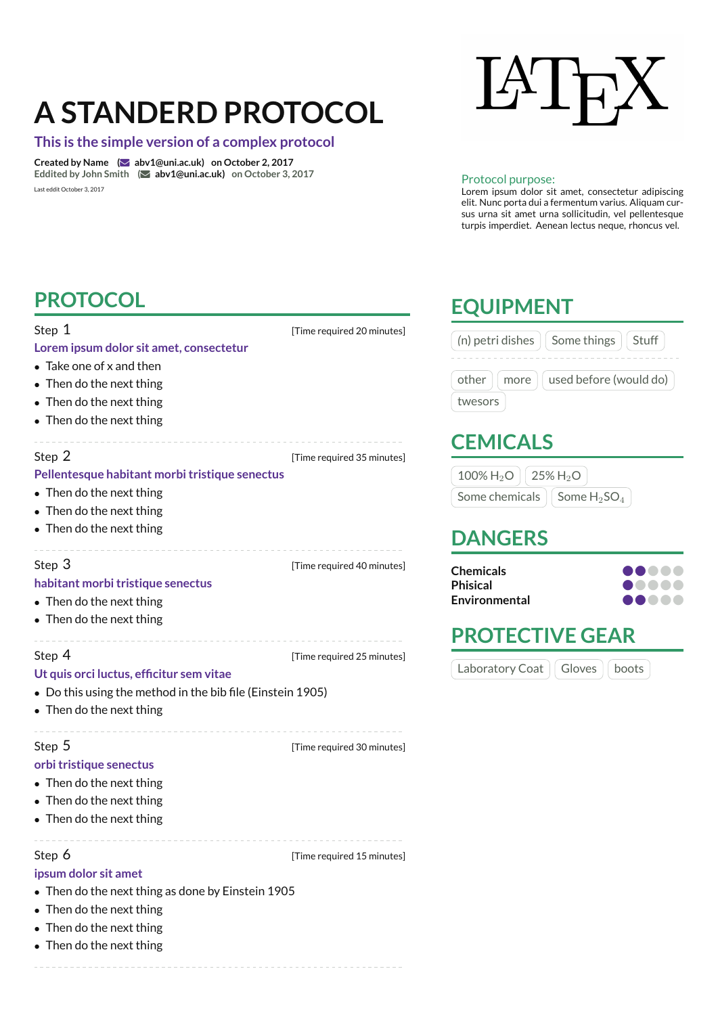# **A STANDERD PROTOCOL**

#### **This is the simple version of a complex protocol**

**Created by Name (**R **abv1@uni.ac.uk) on October 2, 2017 Eddited by John Smith (**R **abv1@uni.ac.uk) on October 3, 2017** Last eddit October 3, 2017



#### Protocol purpose:

Lorem ipsum dolor sit amet, consectetur adipiscing elit. Nunc porta dui a fermentum varius. Aliquam cursus urna sit amet urna sollicitudin, vel pellentesque turpis imperdiet. Aenean lectus neque, rhoncus vel.

> **Chemicals** ○ ○ ○ ○ ○ **Phisical** ○ ○ ○ ○ ○ ● ● ● ● ●

| <b>PROTOCOL</b>                                                                                                                                                   | <b>EQUIPMENT</b>           |                                                                                                                                          |
|-------------------------------------------------------------------------------------------------------------------------------------------------------------------|----------------------------|------------------------------------------------------------------------------------------------------------------------------------------|
| Step 1<br>Lorem ipsum dolor sit amet, consectetur<br>• Take one of x and then<br>• Then do the next thing<br>• Then do the next thing<br>• Then do the next thing | [Time required 20 minutes] | (n) petri dishes<br>Some things<br>Stuff<br>used before (would do)<br>other<br>more<br>twesors                                           |
| Step 2<br>Pellentesque habitant morbi tristique senectus<br>• Then do the next thing<br>• Then do the next thing<br>• Then do the next thing                      | [Time required 35 minutes] | <b>CEMICALS</b><br>$100\%$ H <sub>2</sub> O<br>$25\%$ H <sub>2</sub> O<br>Some chemicals<br>Some $H_2$ SO <sub>4</sub><br><b>DANGERS</b> |
| Step 3<br>habitant morbi tristique senectus<br>• Then do the next thing<br>• Then do the next thing                                                               | [Time required 40 minutes] | <b>Chemicals</b><br><b>Phisical</b><br><b>Environmental</b><br><b>PROTECTIVE GEAR</b>                                                    |
| Step 4<br>Ut quis orci luctus, efficitur sem vitae<br>• Do this using the method in the bib file (Einstein 1905)<br>• Then do the next thing                      | [Time required 25 minutes] | Laboratory Coat<br>Gloves<br>boots                                                                                                       |
| Step 5<br>orbi tristique senectus<br>• Then do the next thing<br>• Then do the next thing<br>• Then do the next thing                                             | [Time required 30 minutes] |                                                                                                                                          |

Step 6 **b [Time required 15 minutes]** 

#### **ipsum dolor sit amet**

- Then do the next thing as done by Einstein 1905
- Then do the next thing
- Then do the next thing
- Then do the next thing